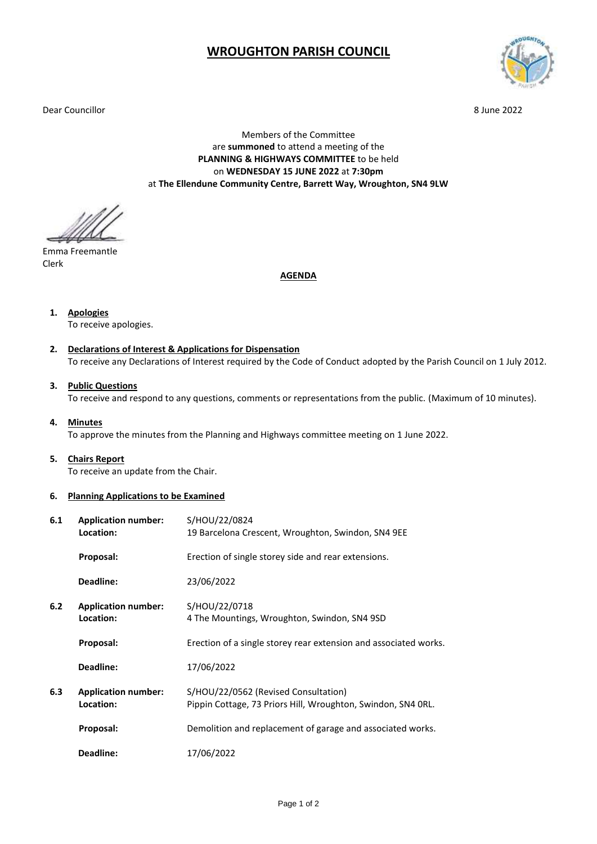## **WROUGHTON PARISH COUNCIL**

Dear Councillor 8 June 2022



Members of the Committee are **summoned** to attend a meeting of the **PLANNING & HIGHWAYS COMMITTEE** to be held on **WEDNESDAY 15 JUNE 2022** at **7:30pm** at **The Ellendune Community Centre, Barrett Way, Wroughton, SN4 9LW**

Emma Freemantle Clerk

**AGENDA**

**1. Apologies**

To receive apologies.

- **2. Declarations of Interest & Applications for Dispensation** To receive any Declarations of Interest required by the Code of Conduct adopted by the Parish Council on 1 July 2012.
- **3. Public Questions** To receive and respond to any questions, comments or representations from the public. (Maximum of 10 minutes).
- **4. Minutes**

To approve the minutes from the Planning and Highways committee meeting on 1 June 2022.

**5. Chairs Report**

To receive an update from the Chair.

**6. Planning Applications to be Examined**

| 6.1 | <b>Application number:</b><br>Location: | S/HOU/22/0824<br>19 Barcelona Crescent, Wroughton, Swindon, SN4 9EE                                  |
|-----|-----------------------------------------|------------------------------------------------------------------------------------------------------|
|     | Proposal:                               | Erection of single storey side and rear extensions.                                                  |
|     | Deadline:                               | 23/06/2022                                                                                           |
| 6.2 | <b>Application number:</b><br>Location: | S/HOU/22/0718<br>4 The Mountings, Wroughton, Swindon, SN4 9SD                                        |
|     | Proposal:                               | Erection of a single storey rear extension and associated works.                                     |
|     | Deadline:                               | 17/06/2022                                                                                           |
| 6.3 | <b>Application number:</b><br>Location: | S/HOU/22/0562 (Revised Consultation)<br>Pippin Cottage, 73 Priors Hill, Wroughton, Swindon, SN4 ORL. |
|     | Proposal:                               | Demolition and replacement of garage and associated works.                                           |
|     | Deadline:                               | 17/06/2022                                                                                           |